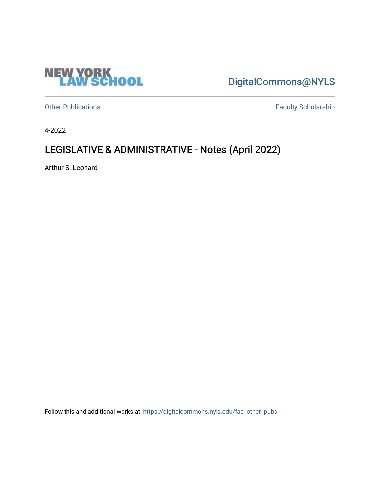

[DigitalCommons@NYLS](https://digitalcommons.nyls.edu/) 

[Other Publications](https://digitalcommons.nyls.edu/fac_other_pubs) **Faculty Scholarship Faculty Scholarship** 

4-2022

### LEGISLATIVE & ADMINISTRATIVE - Notes (April 2022)

Arthur S. Leonard

Follow this and additional works at: [https://digitalcommons.nyls.edu/fac\\_other\\_pubs](https://digitalcommons.nyls.edu/fac_other_pubs?utm_source=digitalcommons.nyls.edu%2Ffac_other_pubs%2F798&utm_medium=PDF&utm_campaign=PDFCoverPages)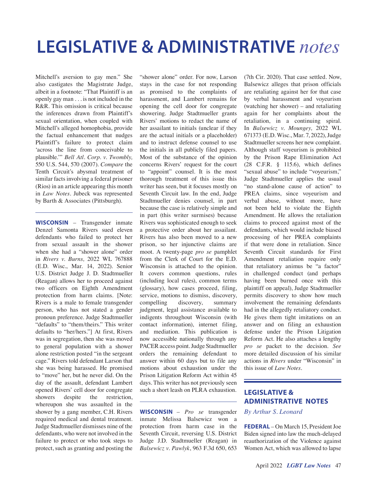# **LEGISLATIVE & ADMINISTRATIVE** *notes*

Mitchell's aversion to gay men." She also castigates the Magistrate Judge, albeit in a footnote: "That Plaintiff is an openly gay man . . . is not included in the R&R. This omission is critical because the inferences drawn from Plaintiff's sexual orientation, when coupled with Mitchell's alleged homophobia, provide the factual enhancement that nudges Plaintiff's failure to protect claim 'across the line from conceivable to plausible.'" *Bell Atl. Corp. v. Twombly,* 550 U.S. 544, 570 (2007). *Compare* the Tenth Circuit's abysmal treatment of similar facts involving a federal prisoner (Rios) in an article appearing this month in *Law Notes.* Jubeck was represented by Barth & Associates (Pittsburgh).

**WISCONSIN** – Transgender inmate Denzel Samonta Rivers sued eleven defendants who failed to protect her from sexual assault in the shower when she had a "shower alone" order in *Rivers v. Burns,* 2022 WL 767888 (E.D. Wisc., Mar. 14, 2022). Senior U.S. District Judge J. D. Stadtmueller (Reagan) allows her to proceed against two officers on Eighth Amendment protection from harm claims. [Note: Rivers is a male to female transgender person, who has not stated a gender pronoun preference. Judge Stadtmueller "defaults" to "them/theirs." This writer defaults to "her/hers."] At first, Rivers was in segregation, then she was moved to general population with a shower alone restriction posted "in the sergeant cage." Rivers told defendant Larson that she was being harassed. He promised to "move" her, but he never did. On the day of the assault, defendant Lambert opened Rivers' cell door for congregate showers despite the restriction, whereupon she was assaulted in the shower by a gang member, C.H. Rivers required medical and dental treatment. Judge Stadtmueller dismisses nine of the defendants, who were not involved in the failure to protect or who took steps to protect, such as granting and posting the

"shower alone" order. For now, Larson stays in the case for not responding as promised to the complaints of harassment, and Lambert remains for opening the cell door for congregate showering. Judge Stadtmueller grants Rivers' motions to redact the name of her assailant to initials (unclear if they are the actual initials or a placeholder) and to instruct defense counsel to use the initials in all publicly filed papers. Most of the substance of the opinion concerns Rivers' request for the court to "appoint" counsel. It is the most thorough treatment of this issue this writer has seen, but it focuses mostly on Seventh Circuit law. In the end, Judge Stadtmueller denies counsel, in part because the case is relatively simple and in part (this writer surmises) because Rivers was sophisticated enough to seek a protective order about her assailant. Rivers has also been moved to a new prison, so her injunctive claims are moot. A twenty-page *pro se* pamphlet from the Clerk of Court for the E.D. Wisconsin is attached to the opinion. It covers common questions, rules (including local rules), common terms (glossary), how cases proceed, filing, service, motions to dismiss, discovery, compelling discovery, summary judgment, legal assistance available to indigents throughout Wisconsin (with contact information), internet filing, and mediation. This publication is now accessible nationally through any PACER access point. Judge Stadtmueller orders the remaining defendant to answer within 60 days but to file any motions about exhaustion under the Prison Litigation Reform Act within 45 days. This writer has not previously seen such a short leash on PLRA exhaustion.

**WISCONSIN** – *Pro se* transgender inmate Melissa Balsewicz won a protection from harm case in the Seventh Circuit, reversing U.S. District Judge J.D. Stadtmueller (Reagan) in *Balsewicz v. Pawlyk*, 963 F.3d 650, 653

(7th Cir. 2020). That case settled. Now, Balsewicz alleges that prison officials are retaliating against her for that case by verbal harassment and voyeurism (watching her shower) – and retaliating again for her complaints about the retaliation, in a continuing spiral. In *Balsewicz v. Moungey,* 2022 WL 671373 (E.D. Wisc., Mar. 7, 2022), Judge Stadtmueller screens her new complaint. Although staff voyeurism is prohibited by the Prison Rape Elimination Act (28 C.F.R. § 115.6), which defines "sexual abuse" to include "voyeurism," Judge Stadtmueller applies the usual "no stand-alone cause of action" to PREA claims, since voyeurism and verbal abuse, without more, have not been held to violate the Eighth Amendment. He allows the retaliation claims to proceed against most of the defendants, which would include biased processing of her PREA complaints if that were done in retaliation. Since Seventh Circuit standards for First Amendment retaliation require only that retaliatory animus be "a factor" in challenged conduct (and perhaps having been burned once with this plaintiff on appeal), Judge Stadtmueller permits discovery to show how much involvement the remaining defendants had in the allegedly retaliatory conduct. He gives them tight imitations on an answer and on filing an exhaustion defense under the Prison Litigation Reform Act. He also attaches a lengthy *pro se* packet to the decision. *See*  more detailed discussion of his similar actions in *Rivers* under "Wisconsin" in this issue of *Law Notes.*

### **LEGISLATIVE & ADMINISTRATIVE NOTES**

*By Arthur S. Leonard*

**FEDERAL** – On March 15, President Joe Biden signed into law the much-delayed reauthorization of the Violence against Women Act, which was allowed to lapse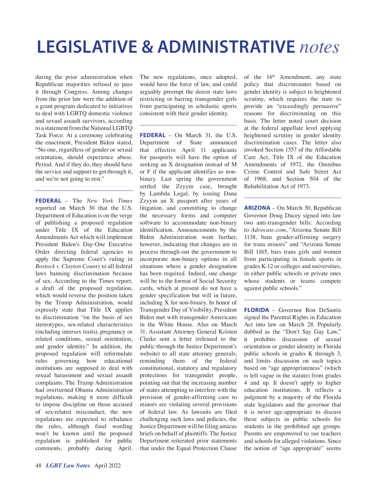# **LEGISLATIVE & ADMINISTRATIVE** *notes*

during the prior administration when Republican majorities refused to pass it through Congress. Among changes from the prior law were the addition of a grant program dedicated to initiatives to deal with LGBTQ domestic violence and sexual assault survivors, according to a statement from the National LGBTQ Task Force. At a ceremony celebrating the enactment, President Biden stated, "No one, regardless of gender or sexual orientation, should experience abuse. Period. And if they do, they should have the service and support to get through it, and we're not going to rest."

**FEDERAL** – The *New York Times* reported on March 30 that the U.S. Department of Education is on the verge of publishing a proposed regulation under Title IX of the Education Amendments Act which will implement President Biden's Day-One Executive Order directing federal agencies to apply the Supreme Court's ruling in *Bostock v. Clayton County* to all federal laws banning discrimination because of sex. According to the Times report, a draft of the proposed regulation, which would reverse the position taken by the Trump Administration, would expressly state that Title IX applies to discrimination "on the basis of sex stereotypes, sex-related characteristics (including intersex traits), pregnancy or related conditions, sexual orientation, and gender identity." In addition, the proposed regulation will reformulate rules governing how educational institutions are supposed to deal with sexual harassment and sexual assault complaints. The Trump Administration had overturned Obama Administration regulations, making it more difficult to impose discipline on those accused of sex-related misconduct; the new regulations are expected to rebalance the rules, although final wording won't be known until the proposed regulation is published for public comments, probably during April.

The new regulations, once adopted, would have the force of law, and could arguably preempt the dozen state laws restricting or barring transgender girls from participating in scholastic sports consistent with their gender identity.

**FEDERAL** – On March 31, the U.S. Department of State announced that effective April 11 applicants for passports will have the option of seeking an X designation instead of M or F if the applicant identifies as nonbinary. Last spring the government settled the Zzyym case, brought by Lambda Legal, by issuing Dana Zzyym an X passport after years of litigation, and committing to change the necessary forms and computer software to accommodate non-binary identification. Announcements by the Biden Administration went further, however, indicating that changes are in process through-out the government to incorporate non-binary options in all situations where a gender designation has been required. Indeed, one change will be to the format of Social Security cards, which at present do not have a gender specification but will in future, including X for non-binary. In honor of Transgender Day of Visibility, President Biden met with transgender Americans in the White House. Also on March 31, Assistant Attorney General Kristen Clarke sent a letter (released to the public through the Justice Department's website) to all state attorney generals, reminding them of the federal constitutional, statutory and regulatory protections for transgender people, pointing out that the increasing number of states attempting to interfere with the provision of gender-affirming care to minors are violating several provisions of federal law. As lawsuits are filed challenging such laws and policies, the Justice Department will be filing amicus briefs on behalf of plaintiffs. The Justice Department reiterated prior statements that under the Equal Protection Clause

of the  $14<sup>th</sup>$  Amendment, any state policy that discriminates based on gender identity is subject to heightened scrutiny, which requires the state to provide an "exceedingly persuasive" reasons for discriminating on this basis. The letter noted court decision at the federal appellate level applying heightened scrutiny in gender identity discrimination cases. The letter also invoked Section 1557 of the Affordable Care Act, Title IX of the Education Amendments of 1972, the Omnibus Crime Control and Safe Street Act of 1968, and Section 504 of the Rehabilitation Act of 1973.

**ARIZONA** – On March 30, Republican Governor Doug Ducey signed into law two anti-transgender bills: According to *Advocate.com*, "Arizona Senate Bill 1138, bans gender-affirming surgery for trans minors" and "Arizona Senate Bill 1165, bars trans girls and women from participating in female sports in grades K-12 or colleges and universities, in either public schools or private ones whose students or teams compete against public schools."

**FLORIDA** – Governor Ron DeSantis signed the Parental Rights in Education Act into law on March 28. Popularly dubbed as the "Don't Say Gay Law," it prohibits discussion of sexual orientation or gender identity in Florida public schools in grades K through 3, and limits discussion on such topics based on "age appropriateness" (which is left vague in the statute) from grades 4 and up. It doesn't apply to higher education institutions. It reflects a judgment by a majority of the Florida state legislators and the governor that it is never age-appropriate to discuss these subjects in public schools for students in the prohibited age groups. Parents are empowered to sue teachers and schools for alleged violations. Since the notion of "age appropriate" seems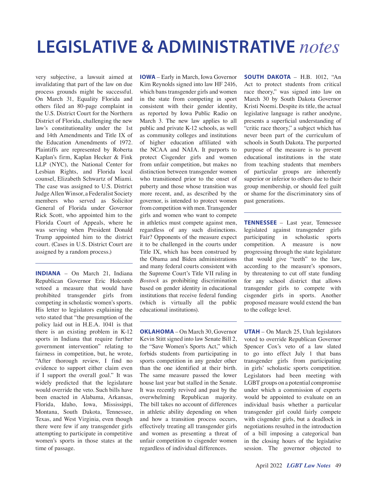## **LEGISLATIVE & ADMINISTRATIVE** *notes*

very subjective, a lawsuit aimed at invalidating that part of the law on due process grounds might be successful. On March 31, Equality Florida and others filed an 80-page complaint in the U.S. District Court for the Northern District of Florida, challenging the new law's constitutionality under the 1st and 14th Amendments and Title IX of the Education Amendments of 1972. Plaintiffs are represented by Roberta Kaplan's firm, Kaplan Hecker & Fink LLP (NYC), the National Center for Lesbian Rights, and Florida local counsel, Elizabeth Schwartz of Miami. The case was assigned to U.S. District Judge Allen Winsor, a Federalist Society members who served as Solicitor General of Florida under Governor Rick Scott, who appointed him to the Florida Court of Appeals, where he was serving when President Donald Trump appointed him to the district court. (Cases in U.S. District Court are assigned by a random process.)

**INDIANA** – On March 21, Indiana Republican Governor Eric Holcomb vetoed a measure that would have prohibited transgender girls from competing in scholastic women's sports. His letter to legislators explaining the veto stated that "the presumption of the policy laid out in H.E.A. 1041 is that there is an existing problem in K-12 sports in Indiana that require further government intervention" relating to fairness in competition, but, he wrote, "After thorough review, I find no evidence to support either claim even if I support the overall goal." It was widely predicted that the legislature would override the veto. Such bills have been enacted in Alabama, Arkansas, Florida, Idaho, Iowa, Mississippi, Montana, South Dakota, Tennessee, Texas, and West Virginia, even though there were few if any transgender girls attempting to participate in competitive women's sports in those states at the time of passage.

**IOWA** – Early in March, Iowa Governor Kim Reynolds signed into law HF 2416, which bans transgender girls and women in the state from competing in sport consistent with their gender identity, as reported by Iowa Public Radio on March 3. The new law applies to all public and private K-12 schools, as well as community colleges and institutions of higher education affiliated with the NCAA and NAIA. It purports to protect Cisgender girls and women from unfair competition, but makes no distinction between transgender women who transitioned prior to the onset of puberty and those whose transition was more recent, and, as described by the governor, is intended to protect women from competition with men. Transgender girls and women who want to compete in athletics must compete against men, regardless of any such distinctions. Fair? Opponents of the measure expect it to be challenged in the courts under Title IX, which has been construed by the Obama and Biden administrations and many federal courts consistent with the Supreme Court's Title VII ruling in *Bostock* as prohibiting discrimination based on gender identity in educational institutions that receive federal funding (which is virtually all the public educational institutions).

**OKLAHOMA** – On March 30, Governor Kevin Stitt signed into law Senate Bill 2, the "Save Women's Sports Act," which forbids students from participating in sports competition in any gender other than the one identified at their birth. The same measure passed the lower house last year but stalled in the Senate. It was recently revived and past by the overwhelming Republican majority. The bill takes no account of differences in athletic ability depending on when and how a transition process occurs, effectively treating all transgender girls and women as presenting a threat of unfair competition to cisgender women regardless of individual differences.

**SOUTH DAKOTA** – H.B. 1012, "An Act to protect students from critical race theory," was signed into law on March 30 by South Dakota Governor Kristi Noemi. Despite its title, the actual legislative language is rather anodyne, presents a superficial understanding of "critic race theory," a subject which has never been part of the curriculum of schools in South Dakota. The purported purpose of the measure is to prevent educational institutions in the state from teaching students that members of particular groups are inherently superior or inferior to others due to their group membership, or should feel guilt or shame for the discriminatory sins of past generations.

**TENNESSEE** – Last year, Tennessee legislated against transgender girls participating in scholastic sports competition. A measure is now progressing through the state legislature that would give "teeth" to the law, according to the measure's sponsors, by threatening to cut off state funding for any school district that allows transgender girls to compete with cisgender girls in sports. Another proposed measure would extend the ban to the college level.

**UTAH** – On March 25, Utah legislators voted to override Republican Governor Spencer Cox's veto of a law slated to go into effect July 1 that bans transgender girls from participating in girls' scholastic sports competition. Legislators had been meeting with LGBT groups on a potential compromise under which a commission of experts would be appointed to evaluate on an individual basis whether a particular transgender girl could fairly compete with cisgender girls, but a deadlock in negotiations resulted in the introduction of a bill imposing a categorical ban in the closing hours of the legislative session. The governor objected to